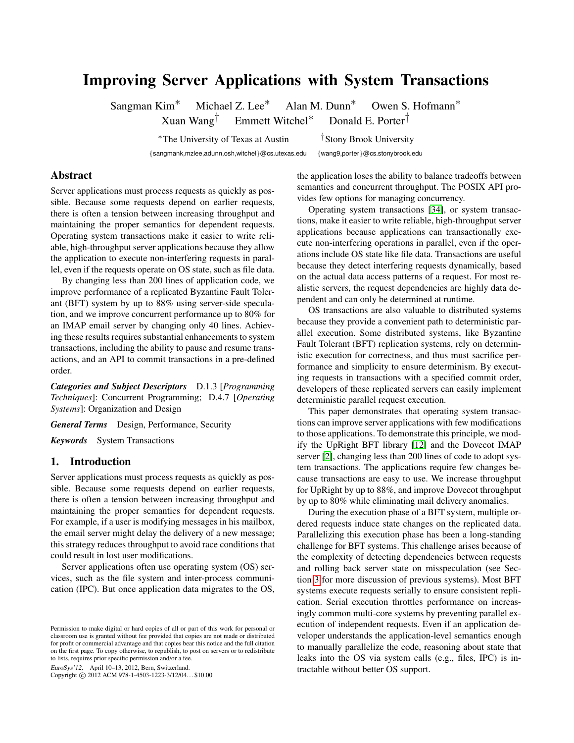# Improving Server Applications with System Transactions

Sangman Kim<sup>∗</sup> Michael Z. Lee<sup>∗</sup> Alan M. Dunn<sup>∗</sup> Owen S. Hofmann<sup>∗</sup>

Xuan Wang† Emmett Witchel∗ Donald E. Porter†

∗The University of Texas at Austin †Stony Brook University {sangmank,mzlee,adunn,osh,witchel}@cs.utexas.edu {wang9,porter}@cs.stonybrook.edu

# Abstract

Server applications must process requests as quickly as possible. Because some requests depend on earlier requests, there is often a tension between increasing throughput and maintaining the proper semantics for dependent requests. Operating system transactions make it easier to write reliable, high-throughput server applications because they allow the application to execute non-interfering requests in parallel, even if the requests operate on OS state, such as file data.

By changing less than 200 lines of application code, we improve performance of a replicated Byzantine Fault Tolerant (BFT) system by up to 88% using server-side speculation, and we improve concurrent performance up to 80% for an IMAP email server by changing only 40 lines. Achieving these results requires substantial enhancements to system transactions, including the ability to pause and resume transactions, and an API to commit transactions in a pre-defined order.

*Categories and Subject Descriptors* D.1.3 [*Programming Techniques*]: Concurrent Programming; D.4.7 [*Operating Systems*]: Organization and Design

*General Terms* Design, Performance, Security

*Keywords* System Transactions

## <span id="page-0-0"></span>1. Introduction

Server applications must process requests as quickly as possible. Because some requests depend on earlier requests, there is often a tension between increasing throughput and maintaining the proper semantics for dependent requests. For example, if a user is modifying messages in his mailbox, the email server might delay the delivery of a new message; this strategy reduces throughput to avoid race conditions that could result in lost user modifications.

Server applications often use operating system (OS) services, such as the file system and inter-process communication (IPC). But once application data migrates to the OS,

EuroSys'12, April 10–13, 2012, Bern, Switzerland.

Copyright © 2012 ACM 978-1-4503-1223-3/12/04... \$10.00

the application loses the ability to balance tradeoffs between semantics and concurrent throughput. The POSIX API provides few options for managing concurrency.

Operating system transactions [\[34\]](#page-13-0), or system transactions, make it easier to write reliable, high-throughput server applications because applications can transactionally execute non-interfering operations in parallel, even if the operations include OS state like file data. Transactions are useful because they detect interfering requests dynamically, based on the actual data access patterns of a request. For most realistic servers, the request dependencies are highly data dependent and can only be determined at runtime.

OS transactions are also valuable to distributed systems because they provide a convenient path to deterministic parallel execution. Some distributed systems, like Byzantine Fault Tolerant (BFT) replication systems, rely on deterministic execution for correctness, and thus must sacrifice performance and simplicity to ensure determinism. By executing requests in transactions with a specified commit order, developers of these replicated servers can easily implement deterministic parallel request execution.

This paper demonstrates that operating system transactions can improve server applications with few modifications to those applications. To demonstrate this principle, we modify the UpRight BFT library [\[12\]](#page-13-1) and the Dovecot IMAP server [\[2\]](#page-12-0), changing less than 200 lines of code to adopt system transactions. The applications require few changes because transactions are easy to use. We increase throughput for UpRight by up to 88%, and improve Dovecot throughput by up to 80% while eliminating mail delivery anomalies.

During the execution phase of a BFT system, multiple ordered requests induce state changes on the replicated data. Parallelizing this execution phase has been a long-standing challenge for BFT systems. This challenge arises because of the complexity of detecting dependencies between requests and rolling back server state on misspeculation (see Section [3](#page-2-0) for more discussion of previous systems). Most BFT systems execute requests serially to ensure consistent replication. Serial execution throttles performance on increasingly common multi-core systems by preventing parallel execution of independent requests. Even if an application developer understands the application-level semantics enough to manually parallelize the code, reasoning about state that leaks into the OS via system calls (e.g., files, IPC) is intractable without better OS support.

Permission to make digital or hard copies of all or part of this work for personal or classroom use is granted without fee provided that copies are not made or distributed for profit or commercial advantage and that copies bear this notice and the full citation on the first page. To copy otherwise, to republish, to post on servers or to redistribute to lists, requires prior specific permission and/or a fee.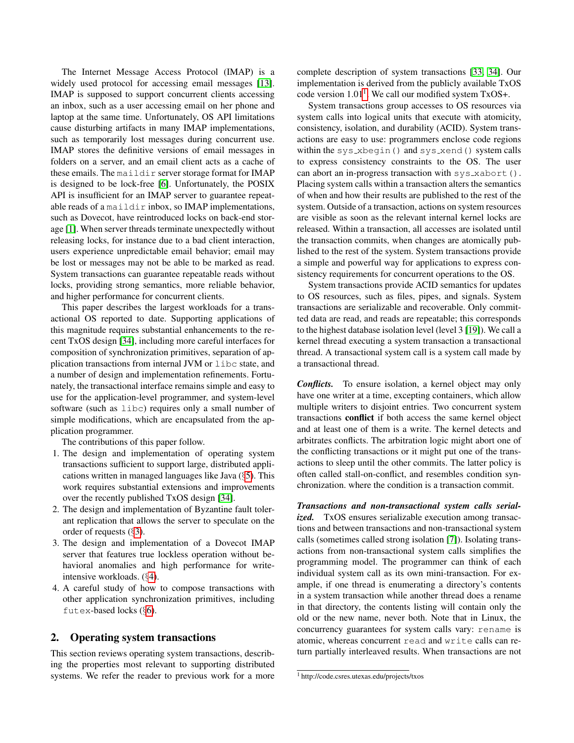The Internet Message Access Protocol (IMAP) is a widely used protocol for accessing email messages [\[13\]](#page-13-2). IMAP is supposed to support concurrent clients accessing an inbox, such as a user accessing email on her phone and laptop at the same time. Unfortunately, OS API limitations cause disturbing artifacts in many IMAP implementations, such as temporarily lost messages during concurrent use. IMAP stores the definitive versions of email messages in folders on a server, and an email client acts as a cache of these emails. The maildir server storage format for IMAP is designed to be lock-free [\[6\]](#page-12-1). Unfortunately, the POSIX API is insufficient for an IMAP server to guarantee repeatable reads of a maildir inbox, so IMAP implementations, such as Dovecot, have reintroduced locks on back-end storage [\[1\]](#page-12-2). When server threads terminate unexpectedly without releasing locks, for instance due to a bad client interaction, users experience unpredictable email behavior; email may be lost or messages may not be able to be marked as read. System transactions can guarantee repeatable reads without locks, providing strong semantics, more reliable behavior, and higher performance for concurrent clients.

This paper describes the largest workloads for a transactional OS reported to date. Supporting applications of this magnitude requires substantial enhancements to the recent TxOS design [\[34\]](#page-13-0), including more careful interfaces for composition of synchronization primitives, separation of application transactions from internal JVM or libc state, and a number of design and implementation refinements. Fortunately, the transactional interface remains simple and easy to use for the application-level programmer, and system-level software (such as libc) requires only a small number of simple modifications, which are encapsulated from the application programmer.

The contributions of this paper follow.

- <span id="page-1-3"></span>1. The design and implementation of operating system transactions sufficient to support large, distributed applications written in managed languages like Java (§[5\)](#page-4-0). This work requires substantial extensions and improvements over the recently published TxOS design [\[34\]](#page-13-0).
- 2. The design and implementation of Byzantine fault tolerant replication that allows the server to speculate on the order of requests  $(\S$ [3\)](#page-2-0).
- 3. The design and implementation of a Dovecot IMAP server that features true lockless operation without behavioral anomalies and high performance for writeintensive workloads. (§[4\)](#page-3-0).
- 4. A careful study of how to compose transactions with other application synchronization primitives, including futex-based locks (§[6\)](#page-5-0).

## <span id="page-1-1"></span>2. Operating system transactions

This section reviews operating system transactions, describing the properties most relevant to supporting distributed systems. We refer the reader to previous work for a more

complete description of system transactions [\[33,](#page-13-3) [34\]](#page-13-0). Our implementation is derived from the publicly available TxOS code version  $1.01<sup>1</sup>$  $1.01<sup>1</sup>$ . We call our modified system TxOS+.

System transactions group accesses to OS resources via system calls into logical units that execute with atomicity, consistency, isolation, and durability (ACID). System transactions are easy to use: programmers enclose code regions within the sys\_xbegin() and sys\_xend() system calls to express consistency constraints to the OS. The user can abort an in-progress transaction with  $sys_xabort()$ . Placing system calls within a transaction alters the semantics of when and how their results are published to the rest of the system. Outside of a transaction, actions on system resources are visible as soon as the relevant internal kernel locks are released. Within a transaction, all accesses are isolated until the transaction commits, when changes are atomically published to the rest of the system. System transactions provide a simple and powerful way for applications to express consistency requirements for concurrent operations to the OS.

System transactions provide ACID semantics for updates to OS resources, such as files, pipes, and signals. System transactions are serializable and recoverable. Only committed data are read, and reads are repeatable; this corresponds to the highest database isolation level (level 3 [\[19\]](#page-13-4)). We call a kernel thread executing a system transaction a transactional thread. A transactional system call is a system call made by a transactional thread.

*Conflicts.* To ensure isolation, a kernel object may only have one writer at a time, excepting containers, which allow multiple writers to disjoint entries. Two concurrent system transactions conflict if both access the same kernel object and at least one of them is a write. The kernel detects and arbitrates conflicts. The arbitration logic might abort one of the conflicting transactions or it might put one of the transactions to sleep until the other commits. The latter policy is often called stall-on-conflict, and resembles condition synchronization. where the condition is a transaction commit.

<span id="page-1-2"></span>*Transactions and non-transactional system calls serialized.* TxOS ensures serializable execution among transactions and between transactions and non-transactional system calls (sometimes called strong isolation [\[7\]](#page-12-3)). Isolating transactions from non-transactional system calls simplifies the programming model. The programmer can think of each individual system call as its own mini-transaction. For example, if one thread is enumerating a directory's contents in a system transaction while another thread does a rename in that directory, the contents listing will contain only the old or the new name, never both. Note that in Linux, the concurrency guarantees for system calls vary: rename is atomic, whereas concurrent read and write calls can return partially interleaved results. When transactions are not

<span id="page-1-0"></span><sup>1</sup> http://code.csres.utexas.edu/projects/txos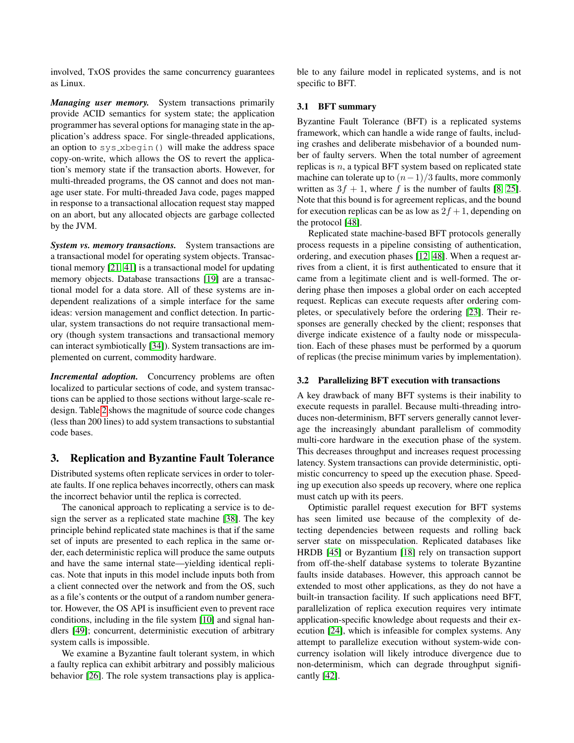involved, TxOS provides the same concurrency guarantees as Linux.

*Managing user memory.* System transactions primarily provide ACID semantics for system state; the application programmer has several options for managing state in the application's address space. For single-threaded applications, an option to sys xbegin() will make the address space copy-on-write, which allows the OS to revert the application's memory state if the transaction aborts. However, for multi-threaded programs, the OS cannot and does not manage user state. For multi-threaded Java code, pages mapped in response to a transactional allocation request stay mapped on an abort, but any allocated objects are garbage collected by the JVM.

<span id="page-2-3"></span>*System vs. memory transactions.* System transactions are a transactional model for operating system objects. Transactional memory [\[21,](#page-13-5) [41\]](#page-13-6) is a transactional model for updating memory objects. Database transactions [\[19\]](#page-13-4) are a transactional model for a data store. All of these systems are independent realizations of a simple interface for the same ideas: version management and conflict detection. In particular, system transactions do not require transactional memory (though system transactions and transactional memory can interact symbiotically [\[34\]](#page-13-0)). System transactions are implemented on current, commodity hardware.

*Incremental adoption.* Concurrency problems are often localized to particular sections of code, and system transactions can be applied to those sections without large-scale redesign. Table [2](#page-9-0) shows the magnitude of source code changes (less than 200 lines) to add system transactions to substantial code bases.

# <span id="page-2-0"></span>3. Replication and Byzantine Fault Tolerance

Distributed systems often replicate services in order to tolerate faults. If one replica behaves incorrectly, others can mask the incorrect behavior until the replica is corrected.

The canonical approach to replicating a service is to design the server as a replicated state machine [\[38\]](#page-13-7). The key principle behind replicated state machines is that if the same set of inputs are presented to each replica in the same order, each deterministic replica will produce the same outputs and have the same internal state—yielding identical replicas. Note that inputs in this model include inputs both from a client connected over the network and from the OS, such as a file's contents or the output of a random number generator. However, the OS API is insufficient even to prevent race conditions, including in the file system [\[10\]](#page-12-4) and signal handlers [\[49\]](#page-13-8); concurrent, deterministic execution of arbitrary system calls is impossible.

We examine a Byzantine fault tolerant system, in which a faulty replica can exhibit arbitrary and possibly malicious behavior [\[26\]](#page-13-9). The role system transactions play is applicable to any failure model in replicated systems, and is not specific to BFT.

## <span id="page-2-2"></span>3.1 BFT summary

Byzantine Fault Tolerance (BFT) is a replicated systems framework, which can handle a wide range of faults, including crashes and deliberate misbehavior of a bounded number of faulty servers. When the total number of agreement replicas is  $n$ , a typical BFT system based on replicated state machine can tolerate up to  $(n-1)/3$  faults, more commonly written as  $3f + 1$ , where f is the number of faults [\[8,](#page-12-5) [25\]](#page-13-10). Note that this bound is for agreement replicas, and the bound for execution replicas can be as low as  $2f + 1$ , depending on the protocol [\[48\]](#page-13-11).

Replicated state machine-based BFT protocols generally process requests in a pipeline consisting of authentication, ordering, and execution phases [\[12,](#page-13-1) [48\]](#page-13-11). When a request arrives from a client, it is first authenticated to ensure that it came from a legitimate client and is well-formed. The ordering phase then imposes a global order on each accepted request. Replicas can execute requests after ordering completes, or speculatively before the ordering [\[23\]](#page-13-12). Their responses are generally checked by the client; responses that diverge indicate existence of a faulty node or misspeculation. Each of these phases must be performed by a quorum of replicas (the precise minimum varies by implementation).

#### <span id="page-2-1"></span>3.2 Parallelizing BFT execution with transactions

A key drawback of many BFT systems is their inability to execute requests in parallel. Because multi-threading introduces non-determinism, BFT servers generally cannot leverage the increasingly abundant parallelism of commodity multi-core hardware in the execution phase of the system. This decreases throughput and increases request processing latency. System transactions can provide deterministic, optimistic concurrency to speed up the execution phase. Speeding up execution also speeds up recovery, where one replica must catch up with its peers.

Optimistic parallel request execution for BFT systems has seen limited use because of the complexity of detecting dependencies between requests and rolling back server state on misspeculation. Replicated databases like HRDB [\[45\]](#page-13-13) or Byzantium [\[18\]](#page-13-14) rely on transaction support from off-the-shelf database systems to tolerate Byzantine faults inside databases. However, this approach cannot be extended to most other applications, as they do not have a built-in transaction facility. If such applications need BFT, parallelization of replica execution requires very intimate application-specific knowledge about requests and their execution [\[24\]](#page-13-15), which is infeasible for complex systems. Any attempt to parallelize execution without system-wide concurrency isolation will likely introduce divergence due to non-determinism, which can degrade throughput significantly [\[42\]](#page-13-16).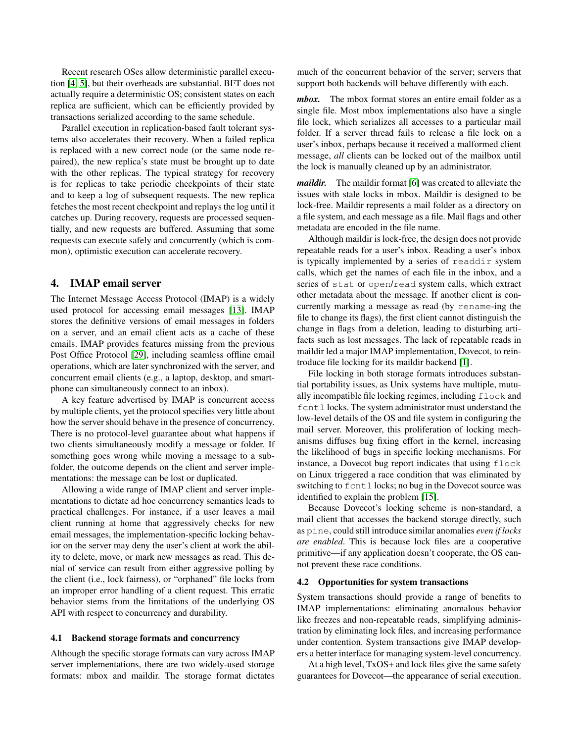Recent research OSes allow deterministic parallel execution [\[4,](#page-12-6) [5\]](#page-12-7), but their overheads are substantial. BFT does not actually require a deterministic OS; consistent states on each replica are sufficient, which can be efficiently provided by transactions serialized according to the same schedule.

Parallel execution in replication-based fault tolerant systems also accelerates their recovery. When a failed replica is replaced with a new correct node (or the same node repaired), the new replica's state must be brought up to date with the other replicas. The typical strategy for recovery is for replicas to take periodic checkpoints of their state and to keep a log of subsequent requests. The new replica fetches the most recent checkpoint and replays the log until it catches up. During recovery, requests are processed sequentially, and new requests are buffered. Assuming that some requests can execute safely and concurrently (which is common), optimistic execution can accelerate recovery.

# <span id="page-3-0"></span>4. IMAP email server

The Internet Message Access Protocol (IMAP) is a widely used protocol for accessing email messages [\[13\]](#page-13-2). IMAP stores the definitive versions of email messages in folders on a server, and an email client acts as a cache of these emails. IMAP provides features missing from the previous Post Office Protocol [\[29\]](#page-13-17), including seamless offline email operations, which are later synchronized with the server, and concurrent email clients (e.g., a laptop, desktop, and smartphone can simultaneously connect to an inbox).

A key feature advertised by IMAP is concurrent access by multiple clients, yet the protocol specifies very little about how the server should behave in the presence of concurrency. There is no protocol-level guarantee about what happens if two clients simultaneously modify a message or folder. If something goes wrong while moving a message to a subfolder, the outcome depends on the client and server implementations: the message can be lost or duplicated.

Allowing a wide range of IMAP client and server implementations to dictate ad hoc concurrency semantics leads to practical challenges. For instance, if a user leaves a mail client running at home that aggressively checks for new email messages, the implementation-specific locking behavior on the server may deny the user's client at work the ability to delete, move, or mark new messages as read. This denial of service can result from either aggressive polling by the client (i.e., lock fairness), or "orphaned" file locks from an improper error handling of a client request. This erratic behavior stems from the limitations of the underlying OS API with respect to concurrency and durability.

#### 4.1 Backend storage formats and concurrency

Although the specific storage formats can vary across IMAP server implementations, there are two widely-used storage formats: mbox and maildir. The storage format dictates

much of the concurrent behavior of the server; servers that support both backends will behave differently with each.

*mbox.* The mbox format stores an entire email folder as a single file. Most mbox implementations also have a single file lock, which serializes all accesses to a particular mail folder. If a server thread fails to release a file lock on a user's inbox, perhaps because it received a malformed client message, *all* clients can be locked out of the mailbox until the lock is manually cleaned up by an administrator.

<span id="page-3-1"></span>*maildir.* The maildir format [\[6\]](#page-12-1) was created to alleviate the issues with stale locks in mbox. Maildir is designed to be lock-free. Maildir represents a mail folder as a directory on a file system, and each message as a file. Mail flags and other metadata are encoded in the file name.

Although maildir is lock-free, the design does not provide repeatable reads for a user's inbox. Reading a user's inbox is typically implemented by a series of readdir system calls, which get the names of each file in the inbox, and a series of stat or open/read system calls, which extract other metadata about the message. If another client is concurrently marking a message as read (by rename-ing the file to change its flags), the first client cannot distinguish the change in flags from a deletion, leading to disturbing artifacts such as lost messages. The lack of repeatable reads in maildir led a major IMAP implementation, Dovecot, to reintroduce file locking for its maildir backend [\[1\]](#page-12-2).

File locking in both storage formats introduces substantial portability issues, as Unix systems have multiple, mutually incompatible file locking regimes, including flock and fcntl locks. The system administrator must understand the low-level details of the OS and file system in configuring the mail server. Moreover, this proliferation of locking mechanisms diffuses bug fixing effort in the kernel, increasing the likelihood of bugs in specific locking mechanisms. For instance, a Dovecot bug report indicates that using  $f$ lock on Linux triggered a race condition that was eliminated by switching to fcntl locks; no bug in the Dovecot source was identified to explain the problem [\[15\]](#page-13-18).

Because Dovecot's locking scheme is non-standard, a mail client that accesses the backend storage directly, such as pine, could still introduce similar anomalies *even if locks are enabled*. This is because lock files are a cooperative primitive—if any application doesn't cooperate, the OS cannot prevent these race conditions.

#### 4.2 Opportunities for system transactions

System transactions should provide a range of benefits to IMAP implementations: eliminating anomalous behavior like freezes and non-repeatable reads, simplifying administration by eliminating lock files, and increasing performance under contention. System transactions give IMAP developers a better interface for managing system-level concurrency.

At a high level, TxOS+ and lock files give the same safety guarantees for Dovecot—the appearance of serial execution.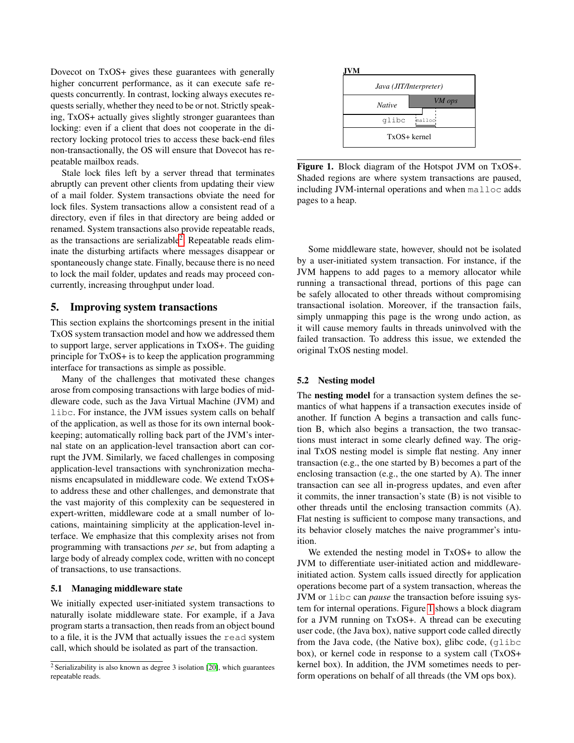Dovecot on TxOS+ gives these guarantees with generally higher concurrent performance, as it can execute safe requests concurrently. In contrast, locking always executes requests serially, whether they need to be or not. Strictly speaking, TxOS+ actually gives slightly stronger guarantees than locking: even if a client that does not cooperate in the directory locking protocol tries to access these back-end files non-transactionally, the OS will ensure that Dovecot has repeatable mailbox reads.

Stale lock files left by a server thread that terminates abruptly can prevent other clients from updating their view of a mail folder. System transactions obviate the need for lock files. System transactions allow a consistent read of a directory, even if files in that directory are being added or renamed. System transactions also provide repeatable reads, as the transactions are serializable<sup>[2](#page-4-1)</sup>. Repeatable reads eliminate the disturbing artifacts where messages disappear or spontaneously change state. Finally, because there is no need to lock the mail folder, updates and reads may proceed concurrently, increasing throughput under load.

## <span id="page-4-0"></span>5. Improving system transactions

This section explains the shortcomings present in the initial TxOS system transaction model and how we addressed them to support large, server applications in TxOS+. The guiding principle for TxOS+ is to keep the application programming interface for transactions as simple as possible.

Many of the challenges that motivated these changes arose from composing transactions with large bodies of middleware code, such as the Java Virtual Machine (JVM) and libc. For instance, the JVM issues system calls on behalf of the application, as well as those for its own internal bookkeeping; automatically rolling back part of the JVM's internal state on an application-level transaction abort can corrupt the JVM. Similarly, we faced challenges in composing application-level transactions with synchronization mechanisms encapsulated in middleware code. We extend TxOS+ to address these and other challenges, and demonstrate that the vast majority of this complexity can be sequestered in expert-written, middleware code at a small number of locations, maintaining simplicity at the application-level interface. We emphasize that this complexity arises not from programming with transactions *per se*, but from adapting a large body of already complex code, written with no concept of transactions, to use transactions.

## 5.1 Managing middleware state

We initially expected user-initiated system transactions to naturally isolate middleware state. For example, if a Java program starts a transaction, then reads from an object bound to a file, it is the JVM that actually issues the read system call, which should be isolated as part of the transaction.

| VМ<br>Java (JIT/Interpreter) |        |  |  |  |  |
|------------------------------|--------|--|--|--|--|
| <b>Native</b>                | VM ops |  |  |  |  |
| qlibc                        | malloc |  |  |  |  |
| $TxOS + k$ ernel             |        |  |  |  |  |

<span id="page-4-2"></span>Figure 1. Block diagram of the Hotspot JVM on TxOS+. Shaded regions are where system transactions are paused, including JVM-internal operations and when malloc adds pages to a heap.

Some middleware state, however, should not be isolated by a user-initiated system transaction. For instance, if the JVM happens to add pages to a memory allocator while running a transactional thread, portions of this page can be safely allocated to other threads without compromising transactional isolation. Moreover, if the transaction fails, simply unmapping this page is the wrong undo action, as it will cause memory faults in threads uninvolved with the failed transaction. To address this issue, we extended the original TxOS nesting model.

#### 5.2 Nesting model

The nesting model for a transaction system defines the semantics of what happens if a transaction executes inside of another. If function A begins a transaction and calls function B, which also begins a transaction, the two transactions must interact in some clearly defined way. The original TxOS nesting model is simple flat nesting. Any inner transaction (e.g., the one started by B) becomes a part of the enclosing transaction (e.g., the one started by A). The inner transaction can see all in-progress updates, and even after it commits, the inner transaction's state (B) is not visible to other threads until the enclosing transaction commits (A). Flat nesting is sufficient to compose many transactions, and its behavior closely matches the naive programmer's intuition.

We extended the nesting model in TxOS+ to allow the JVM to differentiate user-initiated action and middlewareinitiated action. System calls issued directly for application operations become part of a system transaction, whereas the JVM or libc can *pause* the transaction before issuing system for internal operations. Figure [1](#page-4-2) shows a block diagram for a JVM running on TxOS+. A thread can be executing user code, (the Java box), native support code called directly from the Java code, (the Native box), glibc code, (glibc box), or kernel code in response to a system call (TxOS+ kernel box). In addition, the JVM sometimes needs to perform operations on behalf of all threads (the VM ops box).

<span id="page-4-1"></span> $2$ Serializability is also known as degree 3 isolation [\[20\]](#page-13-19), which guarantees repeatable reads.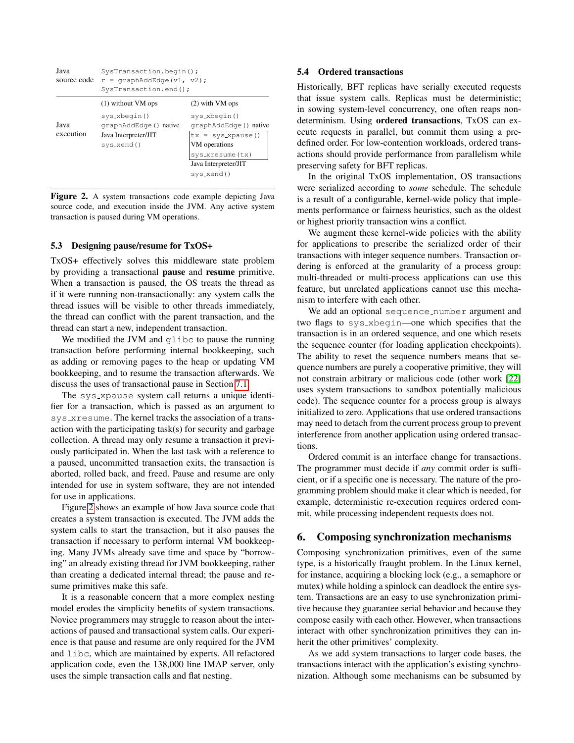| Java<br>source code | SysTransaction.begin();<br>$r =$ qraphAddEdqe(v1, v2);<br>$System. end()$ ; |                                                                                                                                                |  |  |  |
|---------------------|-----------------------------------------------------------------------------|------------------------------------------------------------------------------------------------------------------------------------------------|--|--|--|
|                     | $(1)$ without VM ops                                                        | $(2)$ with VM ops                                                                                                                              |  |  |  |
| Java<br>execution   | sys_xbegin()<br>graphAddEdge() native<br>Java Interpreter/JIT<br>sys_xend() | $sys_x$ begin $()$<br>graphAddEdge() native<br>$tx = sys\_x pause()$<br>VM operations<br>sys_xresume(tx)<br>Java Interpreter/JIT<br>sys_xend() |  |  |  |

<span id="page-5-1"></span>Figure 2. A system transactions code example depicting Java source code, and execution inside the JVM. Any active system transaction is paused during VM operations.

#### 5.3 Designing pause/resume for TxOS+

TxOS+ effectively solves this middleware state problem by providing a transactional pause and resume primitive. When a transaction is paused, the OS treats the thread as if it were running non-transactionally: any system calls the thread issues will be visible to other threads immediately, the thread can conflict with the parent transaction, and the thread can start a new, independent transaction.

We modified the JVM and qlibc to pause the running transaction before performing internal bookkeeping, such as adding or removing pages to the heap or updating VM bookkeeping, and to resume the transaction afterwards. We discuss the uses of transactional pause in Section [7.1.](#page-7-0)

The sys\_xpause system call returns a unique identifier for a transaction, which is passed as an argument to sys xresume. The kernel tracks the association of a transaction with the participating task(s) for security and garbage collection. A thread may only resume a transaction it previously participated in. When the last task with a reference to a paused, uncommitted transaction exits, the transaction is aborted, rolled back, and freed. Pause and resume are only intended for use in system software, they are not intended for use in applications.

Figure [2](#page-5-1) shows an example of how Java source code that creates a system transaction is executed. The JVM adds the system calls to start the transaction, but it also pauses the transaction if necessary to perform internal VM bookkeeping. Many JVMs already save time and space by "borrowing" an already existing thread for JVM bookkeeping, rather than creating a dedicated internal thread; the pause and resume primitives make this safe.

It is a reasonable concern that a more complex nesting model erodes the simplicity benefits of system transactions. Novice programmers may struggle to reason about the interactions of paused and transactional system calls. Our experience is that pause and resume are only required for the JVM and libc, which are maintained by experts. All refactored application code, even the 138,000 line IMAP server, only uses the simple transaction calls and flat nesting.

## <span id="page-5-2"></span>5.4 Ordered transactions

Historically, BFT replicas have serially executed requests that issue system calls. Replicas must be deterministic; in sowing system-level concurrency, one often reaps nondeterminism. Using ordered transactions, TxOS can execute requests in parallel, but commit them using a predefined order. For low-contention workloads, ordered transactions should provide performance from parallelism while preserving safety for BFT replicas.

In the original TxOS implementation, OS transactions were serialized according to *some* schedule. The schedule is a result of a configurable, kernel-wide policy that implements performance or fairness heuristics, such as the oldest or highest priority transaction wins a conflict.

We augment these kernel-wide policies with the ability for applications to prescribe the serialized order of their transactions with integer sequence numbers. Transaction ordering is enforced at the granularity of a process group: multi-threaded or multi-process applications can use this feature, but unrelated applications cannot use this mechanism to interfere with each other.

We add an optional sequence\_number argument and two flags to sys xbegin—one which specifies that the transaction is in an ordered sequence, and one which resets the sequence counter (for loading application checkpoints). The ability to reset the sequence numbers means that sequence numbers are purely a cooperative primitive, they will not constrain arbitrary or malicious code (other work [\[22\]](#page-13-20) uses system transactions to sandbox potentially malicious code). The sequence counter for a process group is always initialized to zero. Applications that use ordered transactions may need to detach from the current process group to prevent interference from another application using ordered transactions.

Ordered commit is an interface change for transactions. The programmer must decide if *any* commit order is sufficient, or if a specific one is necessary. The nature of the programming problem should make it clear which is needed, for example, deterministic re-execution requires ordered commit, while processing independent requests does not.

## <span id="page-5-0"></span>6. Composing synchronization mechanisms

Composing synchronization primitives, even of the same type, is a historically fraught problem. In the Linux kernel, for instance, acquiring a blocking lock (e.g., a semaphore or mutex) while holding a spinlock can deadlock the entire system. Transactions are an easy to use synchronization primitive because they guarantee serial behavior and because they compose easily with each other. However, when transactions interact with other synchronization primitives they can inherit the other primitives' complexity.

As we add system transactions to larger code bases, the transactions interact with the application's existing synchronization. Although some mechanisms can be subsumed by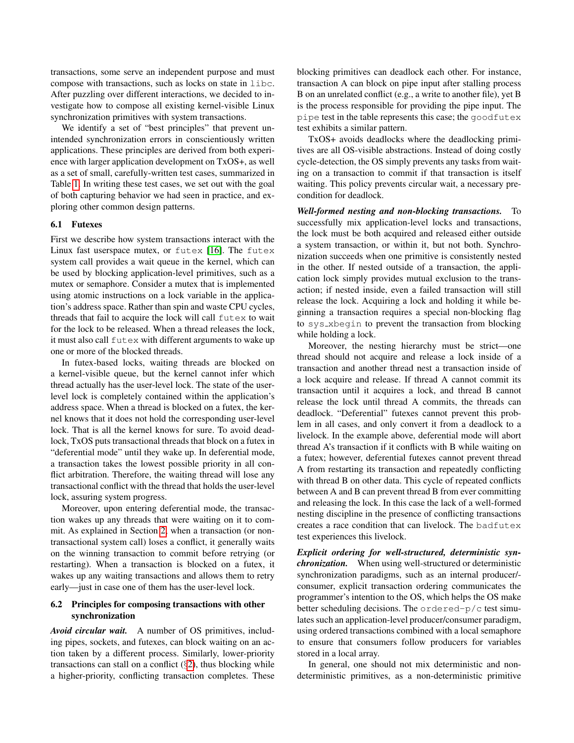transactions, some serve an independent purpose and must compose with transactions, such as locks on state in libc. After puzzling over different interactions, we decided to investigate how to compose all existing kernel-visible Linux synchronization primitives with system transactions.

We identify a set of "best principles" that prevent unintended synchronization errors in conscientiously written applications. These principles are derived from both experience with larger application development on TxOS+, as well as a set of small, carefully-written test cases, summarized in Table [1.](#page-7-1) In writing these test cases, we set out with the goal of both capturing behavior we had seen in practice, and exploring other common design patterns.

#### <span id="page-6-0"></span>6.1 Futexes

First we describe how system transactions interact with the Linux fast userspace mutex, or futex [\[16\]](#page-13-21). The futex system call provides a wait queue in the kernel, which can be used by blocking application-level primitives, such as a mutex or semaphore. Consider a mutex that is implemented using atomic instructions on a lock variable in the application's address space. Rather than spin and waste CPU cycles, threads that fail to acquire the lock will call futex to wait for the lock to be released. When a thread releases the lock, it must also call futex with different arguments to wake up one or more of the blocked threads.

In futex-based locks, waiting threads are blocked on a kernel-visible queue, but the kernel cannot infer which thread actually has the user-level lock. The state of the userlevel lock is completely contained within the application's address space. When a thread is blocked on a futex, the kernel knows that it does not hold the corresponding user-level lock. That is all the kernel knows for sure. To avoid deadlock, TxOS puts transactional threads that block on a futex in "deferential mode" until they wake up. In deferential mode, a transaction takes the lowest possible priority in all conflict arbitration. Therefore, the waiting thread will lose any transactional conflict with the thread that holds the user-level lock, assuring system progress.

Moreover, upon entering deferential mode, the transaction wakes up any threads that were waiting on it to commit. As explained in Section [2,](#page-1-1) when a transaction (or nontransactional system call) loses a conflict, it generally waits on the winning transaction to commit before retrying (or restarting). When a transaction is blocked on a futex, it wakes up any waiting transactions and allows them to retry early—just in case one of them has the user-level lock.

## 6.2 Principles for composing transactions with other synchronization

*Avoid circular wait.* A number of OS primitives, including pipes, sockets, and futexes, can block waiting on an action taken by a different process. Similarly, lower-priority transactions can stall on a conflict  $(\S 2)$  $(\S 2)$ , thus blocking while a higher-priority, conflicting transaction completes. These blocking primitives can deadlock each other. For instance, transaction A can block on pipe input after stalling process B on an unrelated conflict (e.g., a write to another file), yet B is the process responsible for providing the pipe input. The pipe test in the table represents this case; the goodfutex test exhibits a similar pattern.

TxOS+ avoids deadlocks where the deadlocking primitives are all OS-visible abstractions. Instead of doing costly cycle-detection, the OS simply prevents any tasks from waiting on a transaction to commit if that transaction is itself waiting. This policy prevents circular wait, a necessary precondition for deadlock.

*Well-formed nesting and non-blocking transactions.* To successfully mix application-level locks and transactions, the lock must be both acquired and released either outside a system transaction, or within it, but not both. Synchronization succeeds when one primitive is consistently nested in the other. If nested outside of a transaction, the application lock simply provides mutual exclusion to the transaction; if nested inside, even a failed transaction will still release the lock. Acquiring a lock and holding it while beginning a transaction requires a special non-blocking flag to sys xbegin to prevent the transaction from blocking while holding a lock.

Moreover, the nesting hierarchy must be strict—one thread should not acquire and release a lock inside of a transaction and another thread nest a transaction inside of a lock acquire and release. If thread A cannot commit its transaction until it acquires a lock, and thread B cannot release the lock until thread A commits, the threads can deadlock. "Deferential" futexes cannot prevent this problem in all cases, and only convert it from a deadlock to a livelock. In the example above, deferential mode will abort thread A's transaction if it conflicts with B while waiting on a futex; however, deferential futexes cannot prevent thread A from restarting its transaction and repeatedly conflicting with thread B on other data. This cycle of repeated conflicts between A and B can prevent thread B from ever committing and releasing the lock. In this case the lack of a well-formed nesting discipline in the presence of conflicting transactions creates a race condition that can livelock. The badfutex test experiences this livelock.

*Explicit ordering for well-structured, deterministic synchronization.* When using well-structured or deterministic synchronization paradigms, such as an internal producer/ consumer, explicit transaction ordering communicates the programmer's intention to the OS, which helps the OS make better scheduling decisions. The ordered-p/c test simulates such an application-level producer/consumer paradigm, using ordered transactions combined with a local semaphore to ensure that consumers follow producers for variables stored in a local array.

In general, one should not mix deterministic and nondeterministic primitives, as a non-deterministic primitive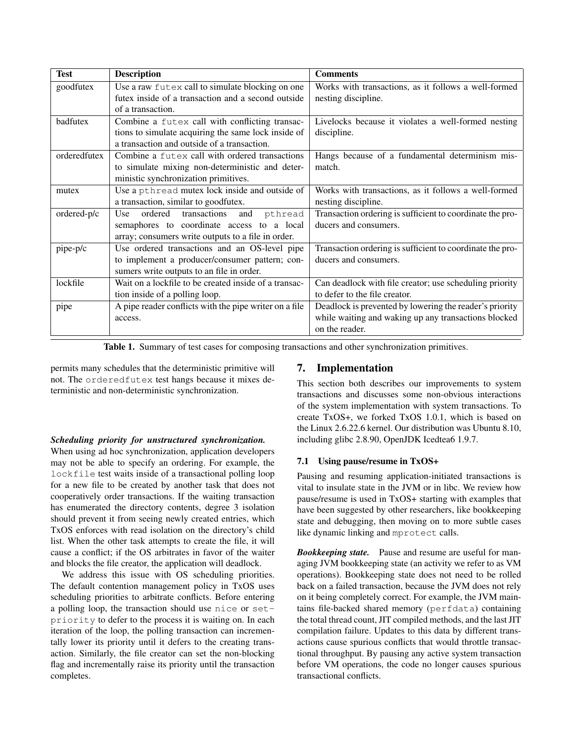| <b>Test</b>  | <b>Description</b>                                     | <b>Comments</b>                                           |
|--------------|--------------------------------------------------------|-----------------------------------------------------------|
| goodfutex    | Use a raw futex call to simulate blocking on one       | Works with transactions, as it follows a well-formed      |
|              | futex inside of a transaction and a second outside     | nesting discipline.                                       |
|              | of a transaction.                                      |                                                           |
| badfutex     | Combine a futex call with conflicting transac-         | Livelocks because it violates a well-formed nesting       |
|              | tions to simulate acquiring the same lock inside of    | discipline.                                               |
|              | a transaction and outside of a transaction.            |                                                           |
| orderedfutex | Combine a futex call with ordered transactions         | Hangs because of a fundamental determinism mis-           |
|              | to simulate mixing non-deterministic and deter-        | match.                                                    |
|              | ministic synchronization primitives.                   |                                                           |
| mutex        | Use a pthread mutex lock inside and outside of         | Works with transactions, as it follows a well-formed      |
|              | a transaction, similar to goodfutex.                   | nesting discipline.                                       |
| ordered-p/c  | ordered transactions<br>Use<br>pthread<br>and          | Transaction ordering is sufficient to coordinate the pro- |
|              | semaphores to coordinate access to a local             | ducers and consumers.                                     |
|              | array; consumers write outputs to a file in order.     |                                                           |
| pipe-p/c     | Use ordered transactions and an OS-level pipe          | Transaction ordering is sufficient to coordinate the pro- |
|              | to implement a producer/consumer pattern; con-         | ducers and consumers.                                     |
|              | sumers write outputs to an file in order.              |                                                           |
| lockfile     | Wait on a lockfile to be created inside of a transac-  | Can deadlock with file creator; use scheduling priority   |
|              | tion inside of a polling loop.                         | to defer to the file creator.                             |
| pipe         | A pipe reader conflicts with the pipe writer on a file | Deadlock is prevented by lowering the reader's priority   |
|              | access.                                                | while waiting and waking up any transactions blocked      |
|              |                                                        | on the reader.                                            |

<span id="page-7-1"></span>Table 1. Summary of test cases for composing transactions and other synchronization primitives.

permits many schedules that the deterministic primitive will not. The orderedfutex test hangs because it mixes deterministic and non-deterministic synchronization.

## *Scheduling priority for unstructured synchronization.*

When using ad hoc synchronization, application developers may not be able to specify an ordering. For example, the lockfile test waits inside of a transactional polling loop for a new file to be created by another task that does not cooperatively order transactions. If the waiting transaction has enumerated the directory contents, degree 3 isolation should prevent it from seeing newly created entries, which TxOS enforces with read isolation on the directory's child list. When the other task attempts to create the file, it will cause a conflict; if the OS arbitrates in favor of the waiter and blocks the file creator, the application will deadlock.

We address this issue with OS scheduling priorities. The default contention management policy in TxOS uses scheduling priorities to arbitrate conflicts. Before entering a polling loop, the transaction should use nice or setpriority to defer to the process it is waiting on. In each iteration of the loop, the polling transaction can incrementally lower its priority until it defers to the creating transaction. Similarly, the file creator can set the non-blocking flag and incrementally raise its priority until the transaction completes.

# 7. Implementation

This section both describes our improvements to system transactions and discusses some non-obvious interactions of the system implementation with system transactions. To create TxOS+, we forked TxOS 1.0.1, which is based on the Linux 2.6.22.6 kernel. Our distribution was Ubuntu 8.10, including glibc 2.8.90, OpenJDK Icedtea6 1.9.7.

# <span id="page-7-0"></span>7.1 Using pause/resume in TxOS+

Pausing and resuming application-initiated transactions is vital to insulate state in the JVM or in libc. We review how pause/resume is used in TxOS+ starting with examples that have been suggested by other researchers, like bookkeeping state and debugging, then moving on to more subtle cases like dynamic linking and mprotect calls.

*Bookkeeping state.* Pause and resume are useful for managing JVM bookkeeping state (an activity we refer to as VM operations). Bookkeeping state does not need to be rolled back on a failed transaction, because the JVM does not rely on it being completely correct. For example, the JVM maintains file-backed shared memory (perfdata) containing the total thread count, JIT compiled methods, and the last JIT compilation failure. Updates to this data by different transactions cause spurious conflicts that would throttle transactional throughput. By pausing any active system transaction before VM operations, the code no longer causes spurious transactional conflicts.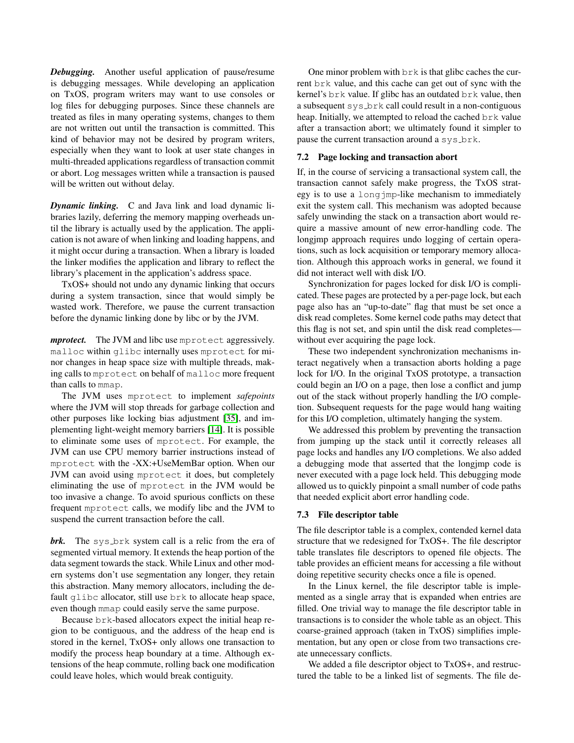*Debugging.* Another useful application of pause/resume is debugging messages. While developing an application on TxOS, program writers may want to use consoles or log files for debugging purposes. Since these channels are treated as files in many operating systems, changes to them are not written out until the transaction is committed. This kind of behavior may not be desired by program writers, especially when they want to look at user state changes in multi-threaded applications regardless of transaction commit or abort. Log messages written while a transaction is paused will be written out without delay.

*Dynamic linking.* C and Java link and load dynamic libraries lazily, deferring the memory mapping overheads until the library is actually used by the application. The application is not aware of when linking and loading happens, and it might occur during a transaction. When a library is loaded the linker modifies the application and library to reflect the library's placement in the application's address space.

TxOS+ should not undo any dynamic linking that occurs during a system transaction, since that would simply be wasted work. Therefore, we pause the current transaction before the dynamic linking done by libc or by the JVM.

<span id="page-8-1"></span>*mprotect.* The JVM and libc use mprotect aggressively. malloc within glibc internally uses mprotect for minor changes in heap space size with multiple threads, making calls to mprotect on behalf of malloc more frequent than calls to mmap.

The JVM uses mprotect to implement *safepoints* where the JVM will stop threads for garbage collection and other purposes like locking bias adjustment [\[35\]](#page-13-22), and implementing light-weight memory barriers [\[14\]](#page-13-23). It is possible to eliminate some uses of mprotect. For example, the JVM can use CPU memory barrier instructions instead of mprotect with the -XX:+UseMemBar option. When our JVM can avoid using mprotect it does, but completely eliminating the use of mprotect in the JVM would be too invasive a change. To avoid spurious conflicts on these frequent mprotect calls, we modify libc and the JVM to suspend the current transaction before the call.

brk. The sys\_brk system call is a relic from the era of segmented virtual memory. It extends the heap portion of the data segment towards the stack. While Linux and other modern systems don't use segmentation any longer, they retain this abstraction. Many memory allocators, including the default glibc allocator, still use brk to allocate heap space, even though mmap could easily serve the same purpose.

Because brk-based allocators expect the initial heap region to be contiguous, and the address of the heap end is stored in the kernel, TxOS+ only allows one transaction to modify the process heap boundary at a time. Although extensions of the heap commute, rolling back one modification could leave holes, which would break contiguity.

One minor problem with brk is that glibc caches the current brk value, and this cache can get out of sync with the kernel's brk value. If glibc has an outdated brk value, then a subsequent sys brk call could result in a non-contiguous heap. Initially, we attempted to reload the cached  $b \rceil$  value after a transaction abort; we ultimately found it simpler to pause the current transaction around a sys\_brk.

#### <span id="page-8-0"></span>7.2 Page locking and transaction abort

If, in the course of servicing a transactional system call, the transaction cannot safely make progress, the TxOS strategy is to use a longjmp-like mechanism to immediately exit the system call. This mechanism was adopted because safely unwinding the stack on a transaction abort would require a massive amount of new error-handling code. The longjmp approach requires undo logging of certain operations, such as lock acquisition or temporary memory allocation. Although this approach works in general, we found it did not interact well with disk I/O.

Synchronization for pages locked for disk I/O is complicated. These pages are protected by a per-page lock, but each page also has an "up-to-date" flag that must be set once a disk read completes. Some kernel code paths may detect that this flag is not set, and spin until the disk read completes without ever acquiring the page lock.

These two independent synchronization mechanisms interact negatively when a transaction aborts holding a page lock for I/O. In the original TxOS prototype, a transaction could begin an I/O on a page, then lose a conflict and jump out of the stack without properly handling the I/O completion. Subsequent requests for the page would hang waiting for this I/O completion, ultimately hanging the system.

We addressed this problem by preventing the transaction from jumping up the stack until it correctly releases all page locks and handles any I/O completions. We also added a debugging mode that asserted that the longjmp code is never executed with a page lock held. This debugging mode allowed us to quickly pinpoint a small number of code paths that needed explicit abort error handling code.

#### 7.3 File descriptor table

The file descriptor table is a complex, contended kernel data structure that we redesigned for TxOS+. The file descriptor table translates file descriptors to opened file objects. The table provides an efficient means for accessing a file without doing repetitive security checks once a file is opened.

In the Linux kernel, the file descriptor table is implemented as a single array that is expanded when entries are filled. One trivial way to manage the file descriptor table in transactions is to consider the whole table as an object. This coarse-grained approach (taken in TxOS) simplifies implementation, but any open or close from two transactions create unnecessary conflicts.

We added a file descriptor object to TxOS+, and restructured the table to be a linked list of segments. The file de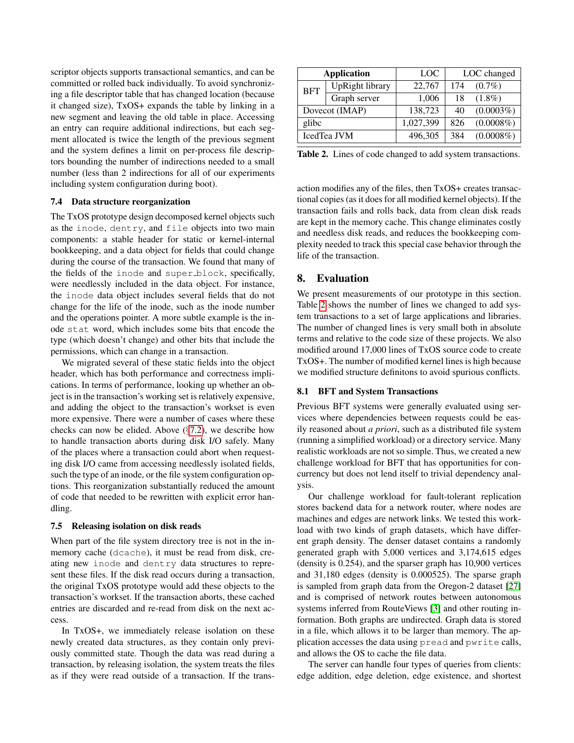scriptor objects supports transactional semantics, and can be committed or rolled back individually. To avoid synchronizing a file descriptor table that has changed location (because it changed size), TxOS+ expands the table by linking in a new segment and leaving the old table in place. Accessing an entry can require additional indirections, but each segment allocated is twice the length of the previous segment and the system defines a limit on per-process file descriptors bounding the number of indirections needed to a small number (less than 2 indirections for all of our experiments including system configuration during boot).

#### 7.4 Data structure reorganization

The TxOS prototype design decomposed kernel objects such as the inode, dentry, and file objects into two main components: a stable header for static or kernel-internal bookkeeping, and a data object for fields that could change during the course of the transaction. We found that many of the fields of the inode and super block, specifically, were needlessly included in the data object. For instance, the inode data object includes several fields that do not change for the life of the inode, such as the inode number and the operations pointer. A more subtle example is the inode stat word, which includes some bits that encode the type (which doesn't change) and other bits that include the permissions, which can change in a transaction.

We migrated several of these static fields into the object header, which has both performance and correctness implications. In terms of performance, looking up whether an object is in the transaction's working set is relatively expensive, and adding the object to the transaction's workset is even more expensive. There were a number of cases where these checks can now be elided. Above (§[7.2\)](#page-8-0), we describe how to handle transaction aborts during disk I/O safely. Many of the places where a transaction could abort when requesting disk I/O came from accessing needlessly isolated fields, such the type of an inode, or the file system configuration options. This reorganization substantially reduced the amount of code that needed to be rewritten with explicit error handling.

#### 7.5 Releasing isolation on disk reads

When part of the file system directory tree is not in the inmemory cache (dcache), it must be read from disk, creating new inode and dentry data structures to represent these files. If the disk read occurs during a transaction, the original TxOS prototype would add these objects to the transaction's workset. If the transaction aborts, these cached entries are discarded and re-read from disk on the next access.

In TxOS+, we immediately release isolation on these newly created data structures, as they contain only previously committed state. Though the data was read during a transaction, by releasing isolation, the system treats the files as if they were read outside of a transaction. If the trans-

|            | <b>Application</b> | LOC       | LOC changed |              |
|------------|--------------------|-----------|-------------|--------------|
| <b>BFT</b> | UpRight library    | 22,767    | 174         | $(0.7\%)$    |
|            | Graph server       | 1,006     | 18          | $(1.8\%)$    |
|            | Dovecot (IMAP)     | 138,723   | 40          | $(0.0003\%)$ |
| glibc      |                    | 1,027,399 | 826         | $(0.0008\%)$ |
|            | IcedTea JVM        | 496,305   | 384         | $(0.0008\%)$ |

<span id="page-9-0"></span>Table 2. Lines of code changed to add system transactions.

action modifies any of the files, then TxOS+ creates transactional copies (as it does for all modified kernel objects). If the transaction fails and rolls back, data from clean disk reads are kept in the memory cache. This change eliminates costly and needless disk reads, and reduces the bookkeeping complexity needed to track this special case behavior through the life of the transaction.

# 8. Evaluation

We present measurements of our prototype in this section. Table [2](#page-9-0) shows the number of lines we changed to add system transactions to a set of large applications and libraries. The number of changed lines is very small both in absolute terms and relative to the code size of these projects. We also modified around 17,000 lines of TxOS source code to create TxOS+. The number of modified kernel lines is high because we modified structure definitons to avoid spurious conflicts.

## <span id="page-9-1"></span>8.1 BFT and System Transactions

Previous BFT systems were generally evaluated using services where dependencies between requests could be easily reasoned about *a priori*, such as a distributed file system (running a simplified workload) or a directory service. Many realistic workloads are not so simple. Thus, we created a new challenge workload for BFT that has opportunities for concurrency but does not lend itself to trivial dependency analysis.

Our challenge workload for fault-tolerant replication stores backend data for a network router, where nodes are machines and edges are network links. We tested this workload with two kinds of graph datasets, which have different graph density. The denser dataset contains a randomly generated graph with 5,000 vertices and 3,174,615 edges (density is 0.254), and the sparser graph has 10,900 vertices and 31,180 edges (density is 0.000525). The sparse graph is sampled from graph data from the Oregon-2 dataset [\[27\]](#page-13-24) and is comprised of network routes between autonomous systems inferred from RouteViews [\[3\]](#page-12-8) and other routing information. Both graphs are undirected. Graph data is stored in a file, which allows it to be larger than memory. The application accesses the data using pread and pwrite calls, and allows the OS to cache the file data.

The server can handle four types of queries from clients: edge addition, edge deletion, edge existence, and shortest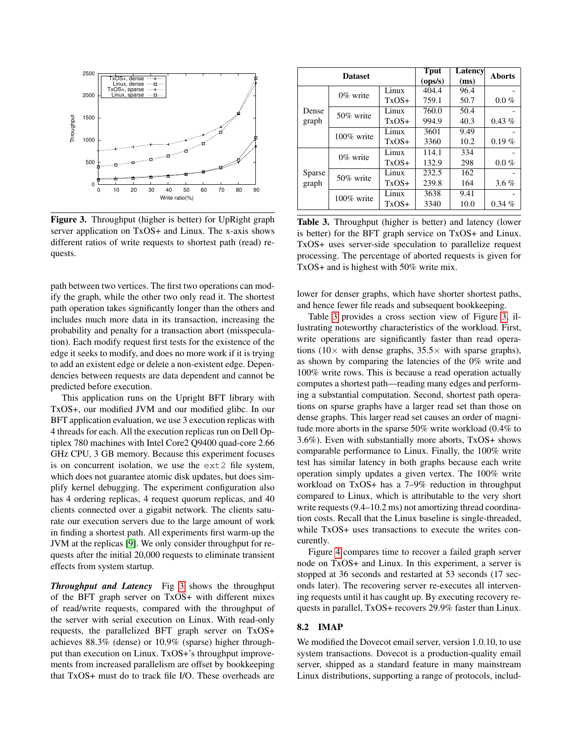

<span id="page-10-0"></span>Figure 3. Throughput (higher is better) for UpRight graph server application on TxOS+ and Linux. The x-axis shows different ratios of write requests to shortest path (read) requests.

path between two vertices. The first two operations can modify the graph, while the other two only read it. The shortest path operation takes significantly longer than the others and includes much more data in its transaction, increasing the probability and penalty for a transaction abort (misspeculation). Each modify request first tests for the existence of the edge it seeks to modify, and does no more work if it is trying to add an existent edge or delete a non-existent edge. Dependencies between requests are data dependent and cannot be predicted before execution.

This application runs on the Upright BFT library with TxOS+, our modified JVM and our modified glibc. In our BFT application evaluation, we use 3 execution replicas with 4 threads for each. All the execution replicas run on Dell Optiplex 780 machines with Intel Core2 Q9400 quad-core 2.66 GHz CPU, 3 GB memory. Because this experiment focuses is on concurrent isolation, we use the ext2 file system, which does not guarantee atomic disk updates, but does simplify kernel debugging. The experiment configuration also has 4 ordering replicas, 4 request quorum replicas, and 40 clients connected over a gigabit network. The clients saturate our execution servers due to the large amount of work in finding a shortest path. All experiments first warm-up the JVM at the replicas [\[9\]](#page-12-9). We only consider throughput for requests after the initial 20,000 requests to eliminate transient effects from system startup.

*Throughput and Latency* Fig [3](#page-10-0) shows the throughput of the BFT graph server on TxOS+ with different mixes of read/write requests, compared with the throughput of the server with serial execution on Linux. With read-only requests, the parallelized BFT graph server on TxOS+ achieves 88.3% (dense) or 10.9% (sparse) higher throughput than execution on Linux. TxOS+'s throughput improvements from increased parallelism are offset by bookkeeping that TxOS+ must do to track file I/O. These overheads are

|                 | <b>Dataset</b> |         | Tput<br>$($ ops $/s)$ | Latency<br>(ms) | <b>Aborts</b> |
|-----------------|----------------|---------|-----------------------|-----------------|---------------|
|                 | $0\%$ write    | Linux   | 404.4                 | 96.4            |               |
|                 |                | $TxOS+$ | 759.1                 | 50.7            | $0.0 \%$      |
| Dense           | 50% write      | Linux   | 760.0                 | 50.4            |               |
| graph           |                | $TxOS+$ | 994.9                 | 40.3            | $0.43\%$      |
|                 | $100\%$ write  | Linux   | 3601                  | 9.49            |               |
|                 |                | $TxOS+$ | 3360                  | 10.2            | $0.19\%$      |
|                 | $0\%$ write    | Linux   | 114.1                 | 334             |               |
|                 |                | $TxOS+$ | 132.9                 | 298             | $0.0\%$       |
| Sparse<br>graph | 50% write      | Linux   | 232.5                 | 162             |               |
|                 |                | $TxOS+$ | 239.8                 | 164             | 3.6%          |
|                 | $100\%$ write  | Linux   | 3638                  | 9.41            |               |
|                 |                | $TxOS+$ | 3340                  | 10.0            | $0.34\%$      |

<span id="page-10-1"></span>Table 3. Throughput (higher is better) and latency (lower is better) for the BFT graph service on TxOS+ and Linux. TxOS+ uses server-side speculation to parallelize request processing. The percentage of aborted requests is given for TxOS+ and is highest with 50% write mix.

lower for denser graphs, which have shorter shortest paths, and hence fewer file reads and subsequent bookkeeping.

Table [3](#page-10-1) provides a cross section view of Figure [3,](#page-10-0) illustrating noteworthy characteristics of the workload. First, write operations are significantly faster than read operations (10 $\times$  with dense graphs, 35.5 $\times$  with sparse graphs), as shown by comparing the latencies of the 0% write and 100% write rows. This is because a read operation actually computes a shortest path—reading many edges and performing a substantial computation. Second, shortest path operations on sparse graphs have a larger read set than those on dense graphs. This larger read set causes an order of magnitude more aborts in the sparse 50% write workload (0.4% to 3.6%). Even with substantially more aborts, TxOS+ shows comparable performance to Linux. Finally, the 100% write test has similar latency in both graphs because each write operation simply updates a given vertex. The 100% write workload on TxOS+ has a 7–9% reduction in throughput compared to Linux, which is attributable to the very short write requests (9.4–10.2 ms) not amortizing thread coordination costs. Recall that the Linux baseline is single-threaded, while TxOS+ uses transactions to execute the writes concurently.

Figure [4](#page-11-0) compares time to recover a failed graph server node on TxOS+ and Linux. In this experiment, a server is stopped at 36 seconds and restarted at 53 seconds (17 seconds later). The recovering server re-executes all intervening requests until it has caught up. By executing recovery requests in parallel, TxOS+ recovers 29.9% faster than Linux.

## <span id="page-10-2"></span>8.2 IMAP

We modified the Dovecot email server, version 1.0.10, to use system transactions. Dovecot is a production-quality email server, shipped as a standard feature in many mainstream Linux distributions, supporting a range of protocols, includ-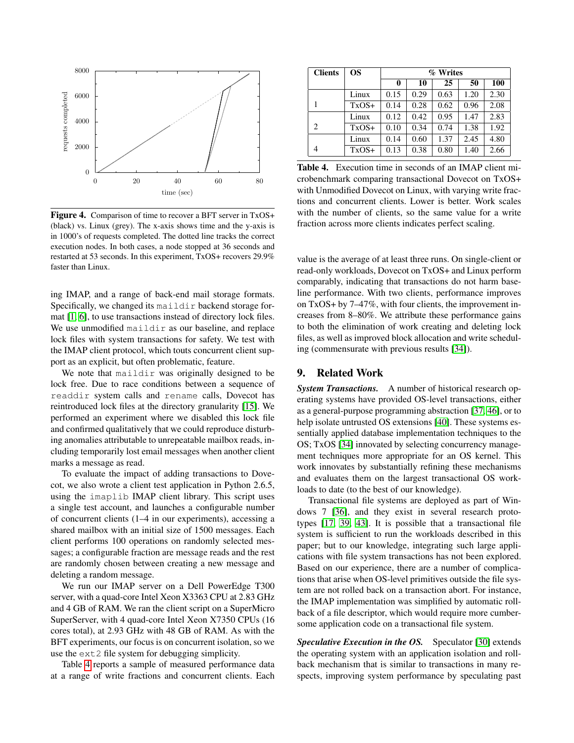

<span id="page-11-0"></span>Figure 4. Comparison of time to recover a BFT server in TxOS+ (black) vs. Linux (grey). The x-axis shows time and the y-axis is in 1000's of requests completed. The dotted line tracks the correct execution nodes. In both cases, a node stopped at 36 seconds and restarted at 53 seconds. In this experiment, TxOS+ recovers 29.9% faster than Linux.

ing IMAP, and a range of back-end mail storage formats. Specifically, we changed its maildir backend storage format [\[1,](#page-12-2) [6\]](#page-12-1), to use transactions instead of directory lock files. We use unmodified maildir as our baseline, and replace lock files with system transactions for safety. We test with the IMAP client protocol, which touts concurrent client support as an explicit, but often problematic, feature.

We note that maildir was originally designed to be lock free. Due to race conditions between a sequence of readdir system calls and rename calls, Dovecot has reintroduced lock files at the directory granularity [\[15\]](#page-13-18). We performed an experiment where we disabled this lock file and confirmed qualitatively that we could reproduce disturbing anomalies attributable to unrepeatable mailbox reads, including temporarily lost email messages when another client marks a message as read.

To evaluate the impact of adding transactions to Dovecot, we also wrote a client test application in Python 2.6.5, using the imaplib IMAP client library. This script uses a single test account, and launches a configurable number of concurrent clients (1–4 in our experiments), accessing a shared mailbox with an initial size of 1500 messages. Each client performs 100 operations on randomly selected messages; a configurable fraction are message reads and the rest are randomly chosen between creating a new message and deleting a random message.

We run our IMAP server on a Dell PowerEdge T300 server, with a quad-core Intel Xeon X3363 CPU at 2.83 GHz and 4 GB of RAM. We ran the client script on a SuperMicro SuperServer, with 4 quad-core Intel Xeon X7350 CPUs (16 cores total), at 2.93 GHz with 48 GB of RAM. As with the BFT experiments, our focus is on concurrent isolation, so we use the ext2 file system for debugging simplicity.

Table [4](#page-11-1) reports a sample of measured performance data at a range of write fractions and concurrent clients. Each

| <b>Clients</b> | <b>OS</b> | % Writes |      |      |      |      |
|----------------|-----------|----------|------|------|------|------|
|                |           | 0        | 10   | 25   | 50   | 100  |
|                | Linux     | 0.15     | 0.29 | 0.63 | 1.20 | 2.30 |
|                | $TxOS+$   | 0.14     | 0.28 | 0.62 | 0.96 | 2.08 |
|                | Linux     | 0.12     | 0.42 | 0.95 | 1.47 | 2.83 |
| 2              | $TxOS+$   | 0.10     | 0.34 | 0.74 | 1.38 | 1.92 |
|                | Linux     | 0.14     | 0.60 | 1.37 | 2.45 | 4.80 |
| 4              | $TxOS+$   | 0.13     | 0.38 | 0.80 | 1.40 | 2.66 |

<span id="page-11-1"></span>Table 4. Execution time in seconds of an IMAP client microbenchmark comparing transactional Dovecot on TxOS+ with Unmodified Dovecot on Linux, with varying write fractions and concurrent clients. Lower is better. Work scales with the number of clients, so the same value for a write fraction across more clients indicates perfect scaling.

value is the average of at least three runs. On single-client or read-only workloads, Dovecot on TxOS+ and Linux perform comparably, indicating that transactions do not harm baseline performance. With two clients, performance improves on TxOS+ by 7–47%, with four clients, the improvement increases from 8–80%. We attribute these performance gains to both the elimination of work creating and deleting lock files, as well as improved block allocation and write scheduling (commensurate with previous results [\[34\]](#page-13-0)).

## 9. Related Work

<span id="page-11-2"></span>*System Transactions.* A number of historical research operating systems have provided OS-level transactions, either as a general-purpose programming abstraction [\[37,](#page-13-25) [46\]](#page-13-26), or to help isolate untrusted OS extensions [\[40\]](#page-13-27). These systems essentially applied database implementation techniques to the OS; TxOS [\[34\]](#page-13-0) innovated by selecting concurrency management techniques more appropriate for an OS kernel. This work innovates by substantially refining these mechanisms and evaluates them on the largest transactional OS workloads to date (to the best of our knowledge).

Transactional file systems are deployed as part of Windows 7 [\[36\]](#page-13-28), and they exist in several research prototypes [\[17,](#page-13-29) [39,](#page-13-30) [43\]](#page-13-31). It is possible that a transactional file system is sufficient to run the workloads described in this paper; but to our knowledge, integrating such large applications with file system transactions has not been explored. Based on our experience, there are a number of complications that arise when OS-level primitives outside the file system are not rolled back on a transaction abort. For instance, the IMAP implementation was simplified by automatic rollback of a file descriptor, which would require more cumbersome application code on a transactional file system.

<span id="page-11-3"></span>*Speculative Execution in the OS.* Speculator [\[30\]](#page-13-32) extends the operating system with an application isolation and rollback mechanism that is similar to transactions in many respects, improving system performance by speculating past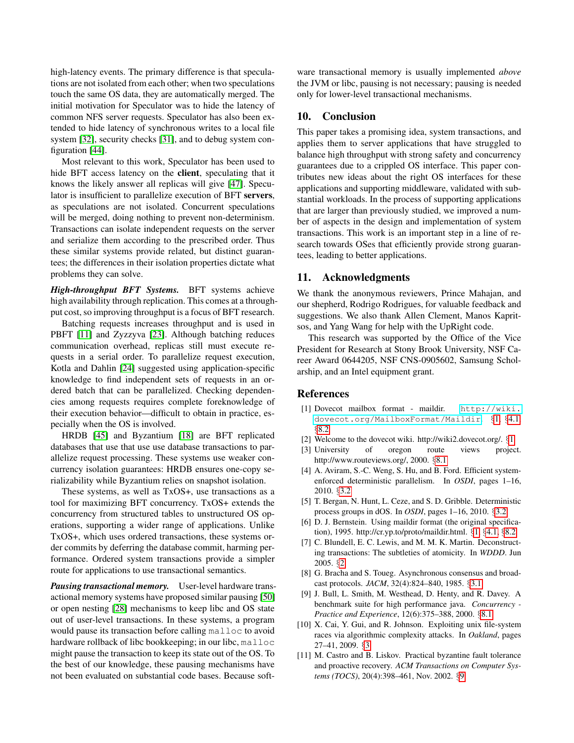high-latency events. The primary difference is that speculations are not isolated from each other; when two speculations touch the same OS data, they are automatically merged. The initial motivation for Speculator was to hide the latency of common NFS server requests. Speculator has also been extended to hide latency of synchronous writes to a local file system [\[32\]](#page-13-33), security checks [\[31\]](#page-13-34), and to debug system configuration [\[44\]](#page-13-35).

Most relevant to this work, Speculator has been used to hide BFT access latency on the **client**, speculating that it knows the likely answer all replicas will give [\[47\]](#page-13-36). Speculator is insufficient to parallelize execution of BFT servers, as speculations are not isolated. Concurrent speculations will be merged, doing nothing to prevent non-determinism. Transactions can isolate independent requests on the server and serialize them according to the prescribed order. Thus these similar systems provide related, but distinct guarantees; the differences in their isolation properties dictate what problems they can solve.

<span id="page-12-11"></span>*High-throughput BFT Systems.* BFT systems achieve high availability through replication. This comes at a throughput cost, so improving throughput is a focus of BFT research.

Batching requests increases throughput and is used in PBFT [\[11\]](#page-12-10) and Zyzzyva [\[23\]](#page-13-12). Although batching reduces communication overhead, replicas still must execute requests in a serial order. To parallelize request execution, Kotla and Dahlin [\[24\]](#page-13-15) suggested using application-specific knowledge to find independent sets of requests in an ordered batch that can be parallelized. Checking dependencies among requests requires complete foreknowledge of their execution behavior—difficult to obtain in practice, especially when the OS is involved.

HRDB [\[45\]](#page-13-13) and Byzantium [\[18\]](#page-13-14) are BFT replicated databases that use that use use database transactions to parallelize request processing. These systems use weaker concurrency isolation guarantees: HRDB ensures one-copy serializability while Byzantium relies on snapshot isolation.

These systems, as well as TxOS+, use transactions as a tool for maximizing BFT concurrency. TxOS+ extends the concurrency from structured tables to unstructured OS operations, supporting a wider range of applications. Unlike TxOS+, which uses ordered transactions, these systems order commits by deferring the database commit, harming performance. Ordered system transactions provide a simpler route for applications to use transactional semantics.

<span id="page-12-12"></span>*Pausing transactional memory.* User-level hardware transactional memory systems have proposed similar pausing [\[50\]](#page-13-37) or open nesting [\[28\]](#page-13-38) mechanisms to keep libc and OS state out of user-level transactions. In these systems, a program would pause its transaction before calling malloc to avoid hardware rollback of libc bookkeeping; in our libc, malloc might pause the transaction to keep its state out of the OS. To the best of our knowledge, these pausing mechanisms have not been evaluated on substantial code bases. Because soft-

ware transactional memory is usually implemented *above* the JVM or libc, pausing is not necessary; pausing is needed only for lower-level transactional mechanisms.

# 10. Conclusion

This paper takes a promising idea, system transactions, and applies them to server applications that have struggled to balance high throughput with strong safety and concurrency guarantees due to a crippled OS interface. This paper contributes new ideas about the right OS interfaces for these applications and supporting middleware, validated with substantial workloads. In the process of supporting applications that are larger than previously studied, we improved a number of aspects in the design and implementation of system transactions. This work is an important step in a line of research towards OSes that efficiently provide strong guarantees, leading to better applications.

## 11. Acknowledgments

We thank the anonymous reviewers, Prince Mahajan, and our shepherd, Rodrigo Rodrigues, for valuable feedback and suggestions. We also thank Allen Clement, Manos Kapritsos, and Yang Wang for help with the UpRight code.

This research was supported by the Office of the Vice President for Research at Stony Brook University, NSF Career Award 0644205, NSF CNS-0905602, Samsung Scholarship, and an Intel equipment grant.

# **References**

- <span id="page-12-2"></span>[1] Dovecot mailbox format - maildir. [http://wiki.](http://wiki.dovecot.org/MailboxFormat/Maildir) [dovecot.org/MailboxFormat/Maildir](http://wiki.dovecot.org/MailboxFormat/Maildir). §[1,](#page-0-0) §[4.1,](#page-3-1) §[8.2](#page-10-2)
- <span id="page-12-0"></span>[2] Welcome to the dovecot wiki. http://wiki2.dovecot.org/. §[1](#page-0-0)
- <span id="page-12-8"></span>[3] University of oregon route views project. http://www.routeviews.org/, 2000. §[8.1](#page-9-1)
- <span id="page-12-6"></span>[4] A. Aviram, S.-C. Weng, S. Hu, and B. Ford. Efficient systemenforced deterministic parallelism. In *OSDI*, pages 1–16, 2010. §[3.2](#page-2-1)
- <span id="page-12-7"></span>[5] T. Bergan, N. Hunt, L. Ceze, and S. D. Gribble. Deterministic process groups in dOS. In *OSDI*, pages 1–16, 2010. §[3.2](#page-2-1)
- <span id="page-12-1"></span>[6] D. J. Bernstein. Using maildir format (the original specification), 1995. http://cr.yp.to/proto/maildir.html. §[1,](#page-0-0) §[4.1,](#page-3-1) §[8.2](#page-10-2)
- <span id="page-12-3"></span>[7] C. Blundell, E. C. Lewis, and M. M. K. Martin. Deconstructing transactions: The subtleties of atomicity. In *WDDD*. Jun 2005. §[2](#page-1-2)
- <span id="page-12-5"></span>[8] G. Bracha and S. Toueg. Asynchronous consensus and broadcast protocols. *JACM*, 32(4):824–840, 1985. §[3.1](#page-2-2)
- <span id="page-12-9"></span>[9] J. Bull, L. Smith, M. Westhead, D. Henty, and R. Davey. A benchmark suite for high performance java. *Concurrency - Practice and Experience*, 12(6):375–388, 2000. §[8.1](#page-9-1)
- <span id="page-12-4"></span>[10] X. Cai, Y. Gui, and R. Johnson. Exploiting unix file-system races via algorithmic complexity attacks. In *Oakland*, pages 27–41, 2009. §[3](#page-2-0)
- <span id="page-12-10"></span>[11] M. Castro and B. Liskov. Practical byzantine fault tolerance and proactive recovery. *ACM Transactions on Computer Systems (TOCS)*, 20(4):398–461, Nov. 2002. §[9](#page-12-11)